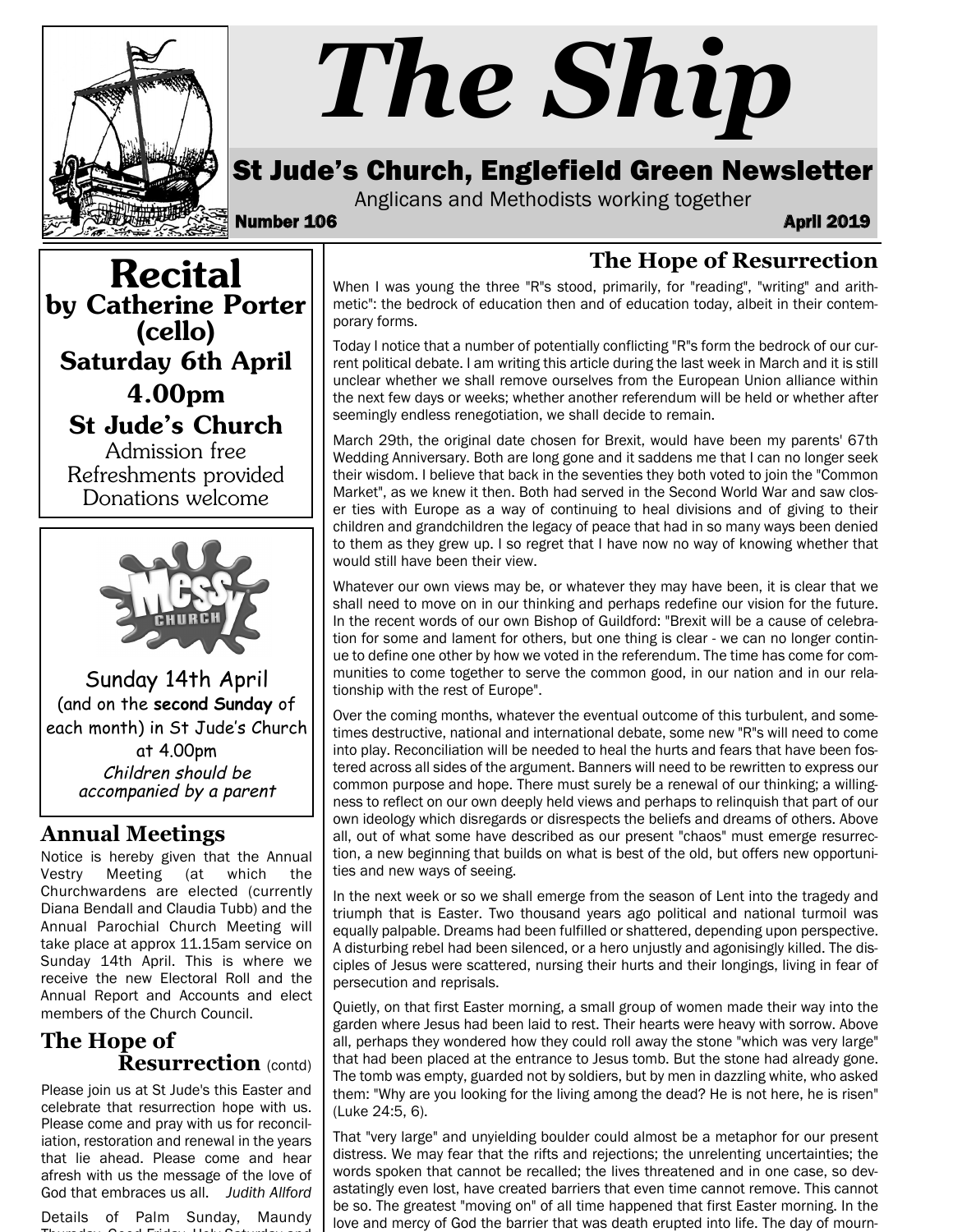

# *The Ship*

# St Jude's Church, Englefield Green Newsletter

Anglicans and Methodists working together

Number 106 April 2019

**The Hope of Resurrection**

Recital by Catherine Porter (cello) Saturday 6th April 4.00pm St Jude's Church Admission free Refreshments provided Donations welcome



Sunday 14th April (and on the **second Sunday** of each month) in St Jude's Church at 4.00pm Children should be

accompanied by a parent

## **Annual Meetings**

Notice is hereby given that the Annual Vestry Meeting (at which the Churchwardens are elected (currently Diana Bendall and Claudia Tubb) and the Annual Parochial Church Meeting will take place at approx 11.15am service on Sunday 14th April. This is where we receive the new Electoral Roll and the Annual Report and Accounts and elect members of the Church Council.

#### **The Hope of Resurrection** (contd)

Please join us at St Jude's this Easter and celebrate that resurrection hope with us. Please come and pray with us for reconciliation, restoration and renewal in the years that lie ahead. Please come and hear afresh with us the message of the love of God that embraces us all. *Judith Allford*

Details of Palm Sunday, Maundy Thursday, Good Friday, Holy Saturday and

When I was young the three "R"s stood, primarily, for "reading", "writing" and arithmetic": the bedrock of education then and of education today, albeit in their contemporary forms.

Today I notice that a number of potentially conflicting "R"s form the bedrock of our current political debate. I am writing this article during the last week in March and it is still unclear whether we shall remove ourselves from the European Union alliance within the next few days or weeks; whether another referendum will be held or whether after seemingly endless renegotiation, we shall decide to remain.

March 29th, the original date chosen for Brexit, would have been my parents' 67th Wedding Anniversary. Both are long gone and it saddens me that I can no longer seek their wisdom. I believe that back in the seventies they both voted to join the "Common Market", as we knew it then. Both had served in the Second World War and saw closer ties with Europe as a way of continuing to heal divisions and of giving to their children and grandchildren the legacy of peace that had in so many ways been denied to them as they grew up. I so regret that I have now no way of knowing whether that would still have been their view.

Whatever our own views may be, or whatever they may have been, it is clear that we shall need to move on in our thinking and perhaps redefine our vision for the future. In the recent words of our own Bishop of Guildford: "Brexit will be a cause of celebration for some and lament for others, but one thing is clear - we can no longer continue to define one other by how we voted in the referendum. The time has come for communities to come together to serve the common good, in our nation and in our relationship with the rest of Europe".

Over the coming months, whatever the eventual outcome of this turbulent, and sometimes destructive, national and international debate, some new "R"s will need to come into play. Reconciliation will be needed to heal the hurts and fears that have been fostered across all sides of the argument. Banners will need to be rewritten to express our common purpose and hope. There must surely be a renewal of our thinking; a willingness to reflect on our own deeply held views and perhaps to relinquish that part of our own ideology which disregards or disrespects the beliefs and dreams of others. Above all, out of what some have described as our present "chaos" must emerge resurrection, a new beginning that builds on what is best of the old, but offers new opportunities and new ways of seeing.

In the next week or so we shall emerge from the season of Lent into the tragedy and triumph that is Easter. Two thousand years ago political and national turmoil was equally palpable. Dreams had been fulfilled or shattered, depending upon perspective. A disturbing rebel had been silenced, or a hero unjustly and agonisingly killed. The disciples of Jesus were scattered, nursing their hurts and their longings, living in fear of persecution and reprisals.

Quietly, on that first Easter morning, a small group of women made their way into the garden where Jesus had been laid to rest. Their hearts were heavy with sorrow. Above all, perhaps they wondered how they could roll away the stone "which was very large" that had been placed at the entrance to Jesus tomb. But the stone had already gone. The tomb was empty, guarded not by soldiers, but by men in dazzling white, who asked them: "Why are you looking for the living among the dead? He is not here, he is risen" (Luke 24:5, 6).

That "very large" and unyielding boulder could almost be a metaphor for our present distress. We may fear that the rifts and rejections; the unrelenting uncertainties; the words spoken that cannot be recalled; the lives threatened and in one case, so devastatingly even lost, have created barriers that even time cannot remove. This cannot be so. The greatest "moving on" of all time happened that first Easter morning. In the love and mercy of God the barrier that was death erupted into life. The day of mourn-